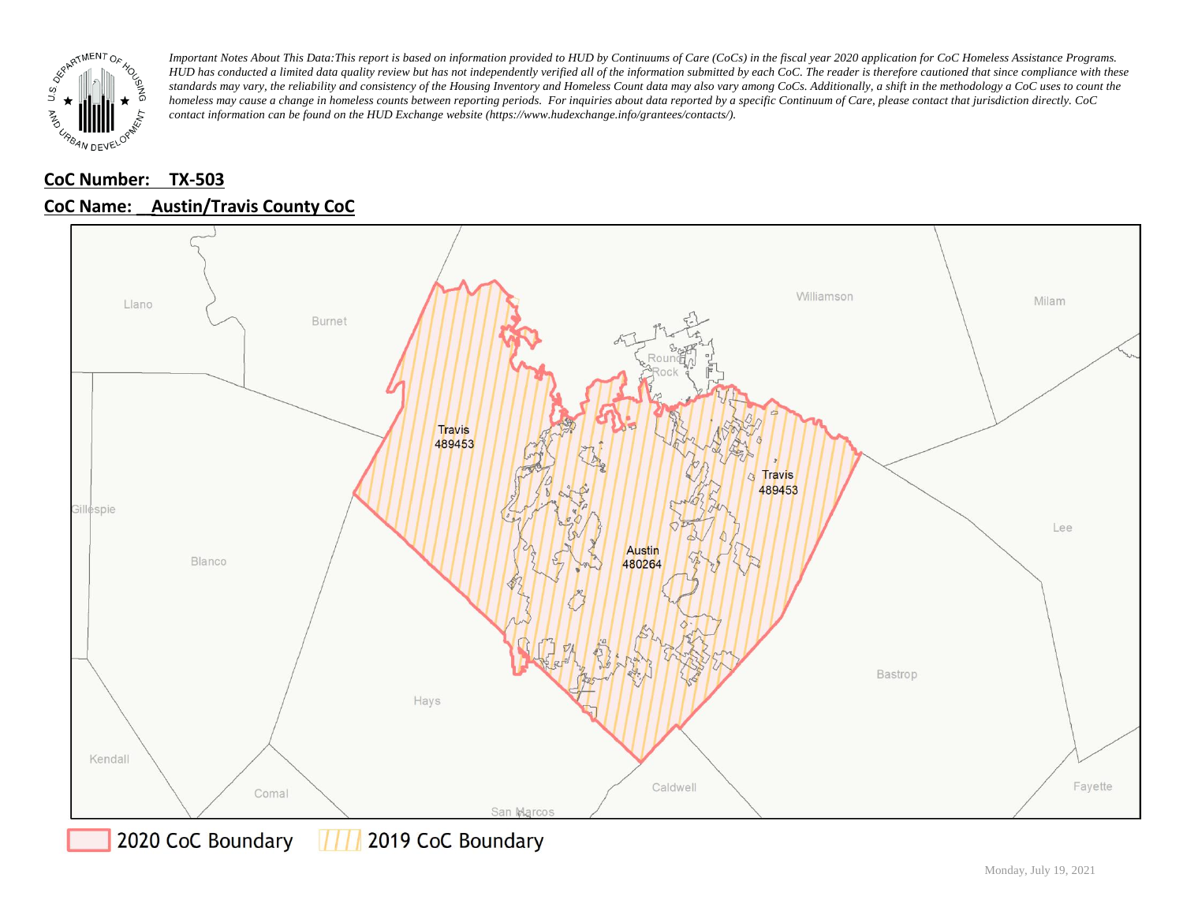

### **CoC Number: TX-503 CoC Name: \_\_ Austin/Travis County CoC**



777 2019 CoC Boundary 2020 CoC Boundary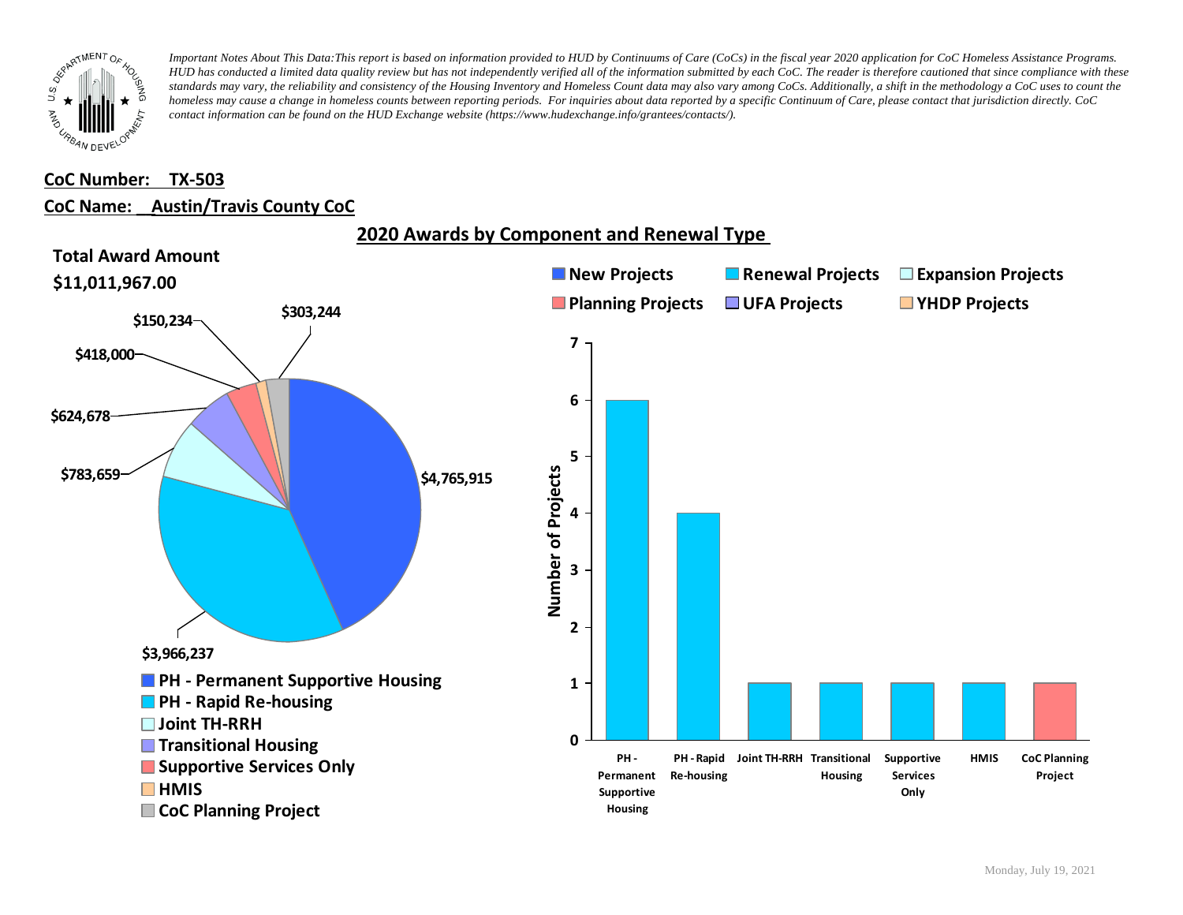

#### **CoC Number: TX-503**

#### **CoC Name: \_\_ Austin/Travis County CoC**

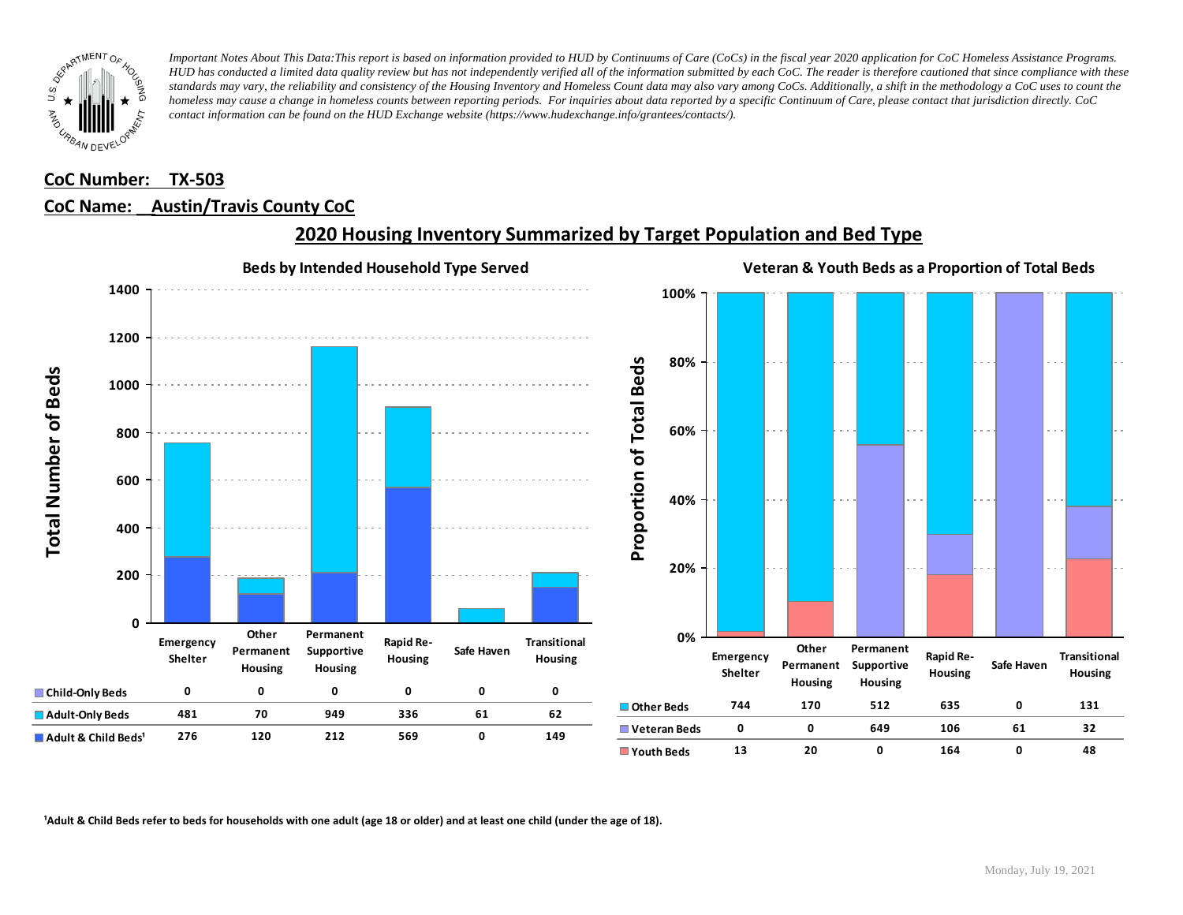

# **CoC Number: TX-503**

### **CoC Name: \_\_ Austin/Travis County CoC**



### **2020 Housing Inventory Summarized by Target Population and Bed Type**

<sup>1</sup> Adult & Child Beds refer to beds for households with one adult (age 18 or older) and at least one child (under the age of 18).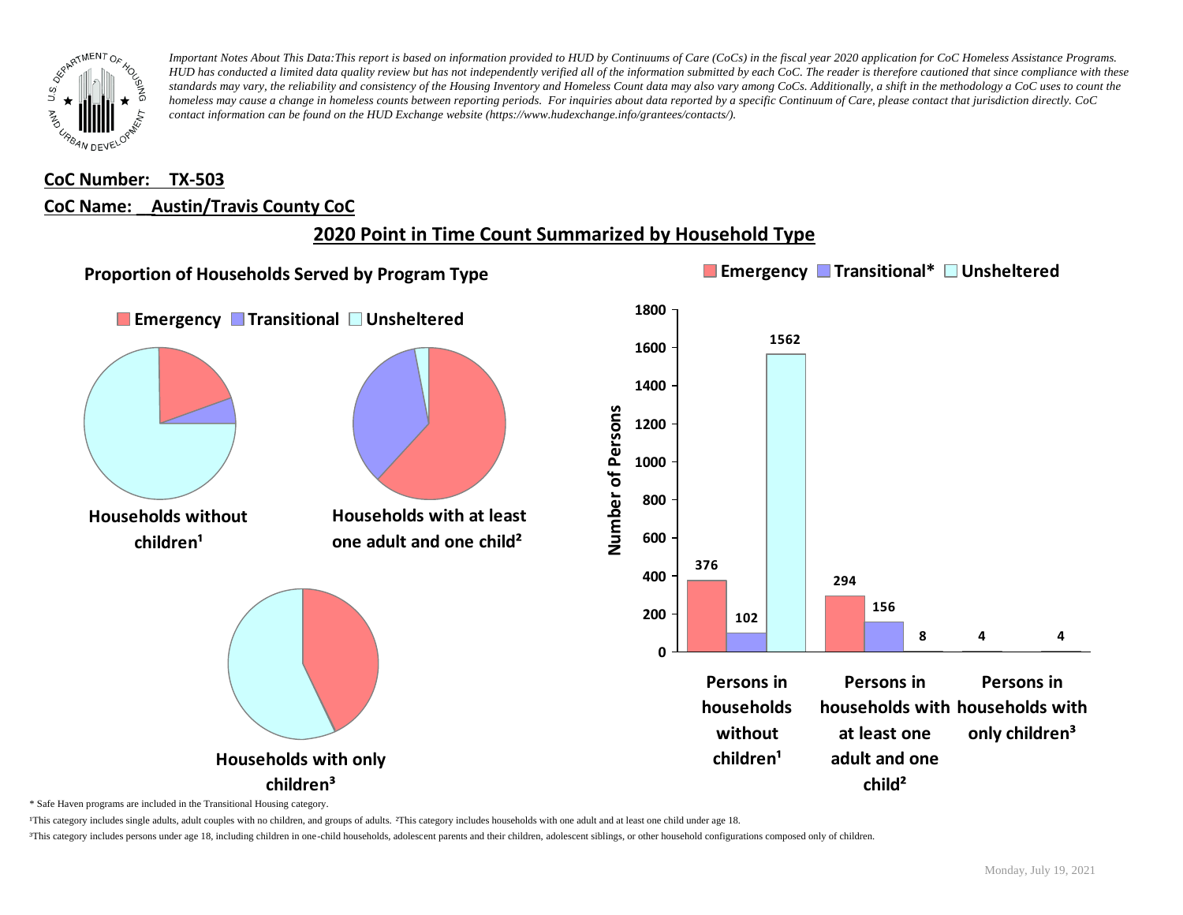

### **CoC Number: TX-503 CoC Name: \_\_ Austin/Travis County CoC**

# **2020 Point in Time Count Summarized by Household Type**



\* Safe Haven programs are included in the Transitional Housing category.

¹This category includes single adults, adult couples with no children, and groups of adults. ²This category includes households with one adult and at least one child under age 18.

³This category includes persons under age 18, including children in one-child households, adolescent parents and their children, adolescent siblings, or other household configurations composed only of children.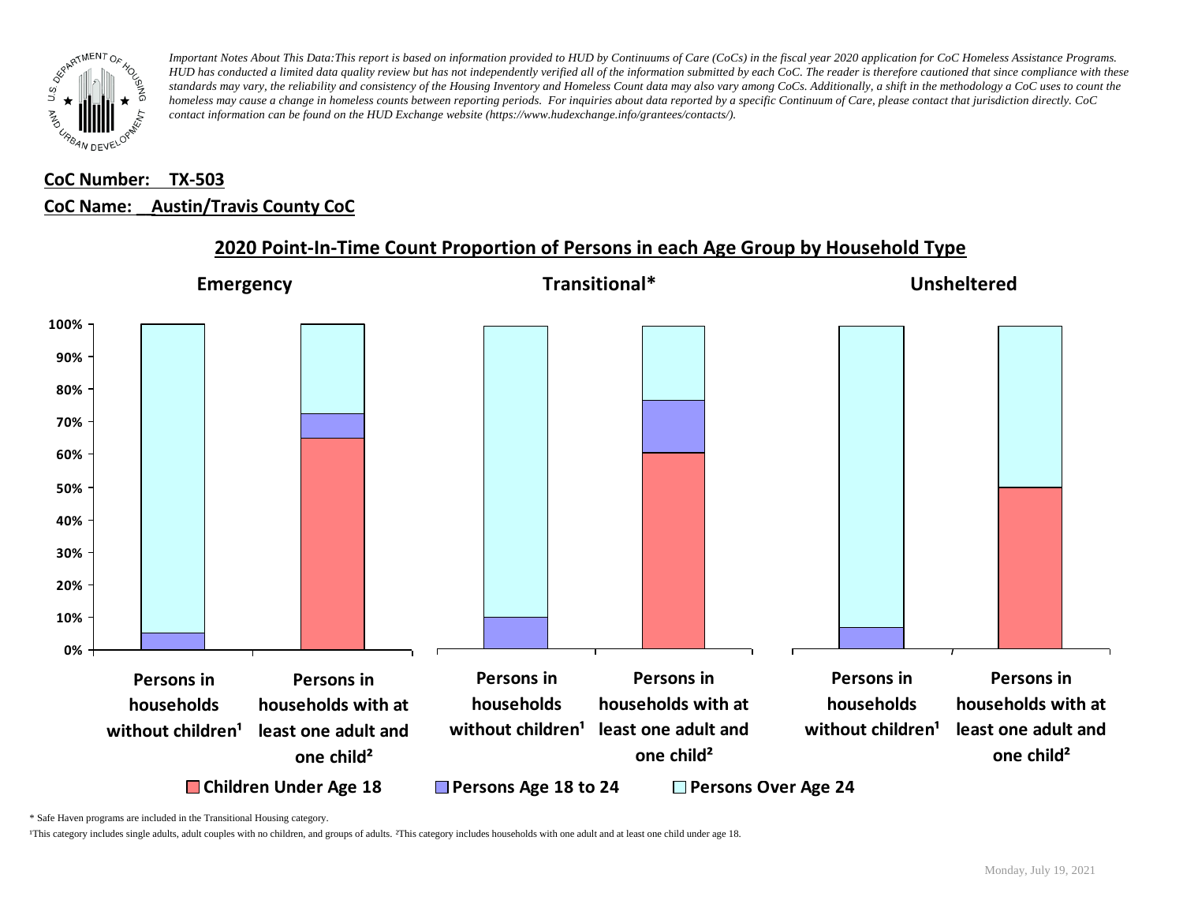

# **CoC Number: TX-503 CoC Name: \_\_ Austin/Travis County CoC**



#### **2020 Point-In-Time Count Proportion of Persons in each Age Group by Household Type**

\* Safe Haven programs are included in the Transitional Housing category.

¹This category includes single adults, adult couples with no children, and groups of adults. ²This category includes households with one adult and at least one child under age 18.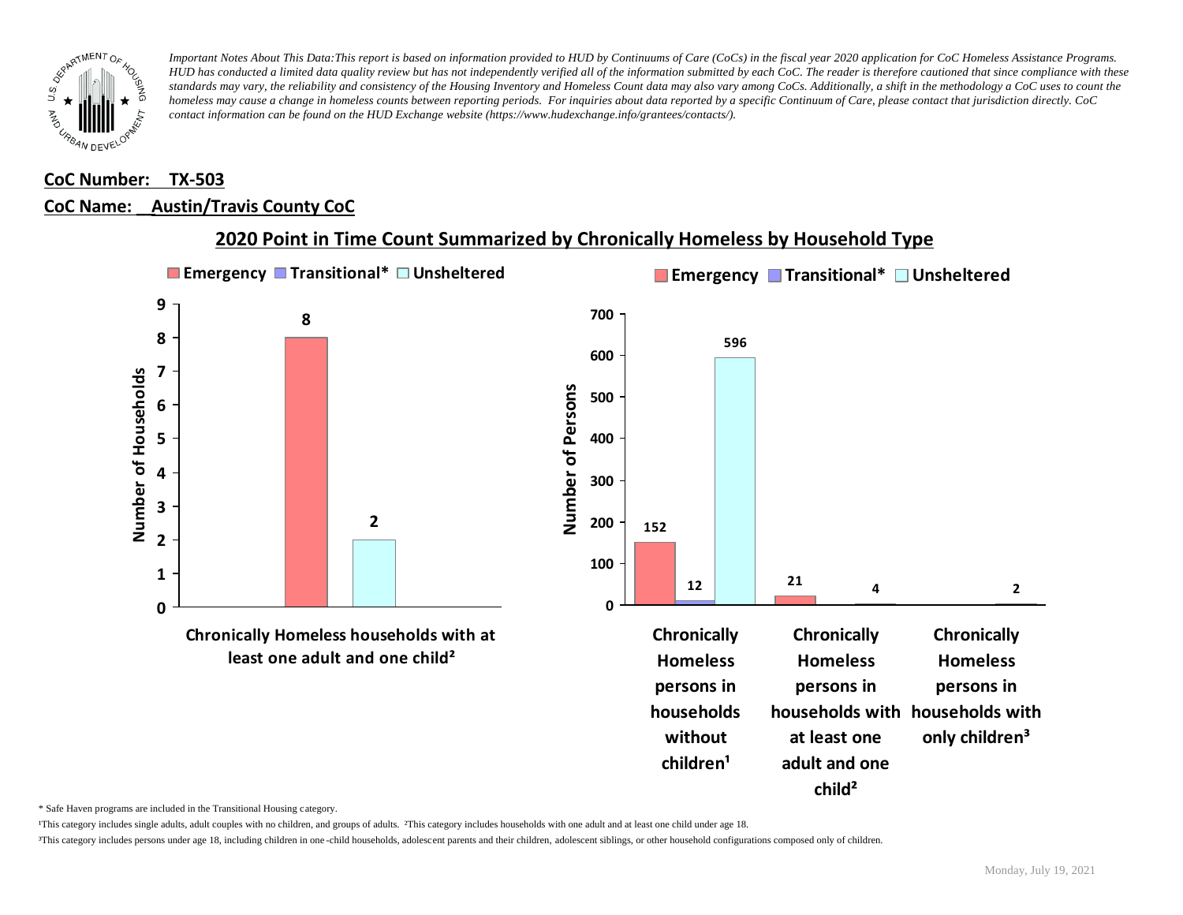

#### **CoC Number: TX-503**

#### **CoC Name: \_\_ Austin/Travis County CoC**



**2020 Point in Time Count Summarized by Chronically Homeless by Household Type**

\* Safe Haven programs are included in the Transitional Housing category.

¹This category includes single adults, adult couples with no children, and groups of adults. ²This category includes households with one adult and at least one child under age 18.

³This category includes persons under age 18, including children in one -child households, adolescent parents and their children, adolescent siblings, or other household configurations composed only of children.